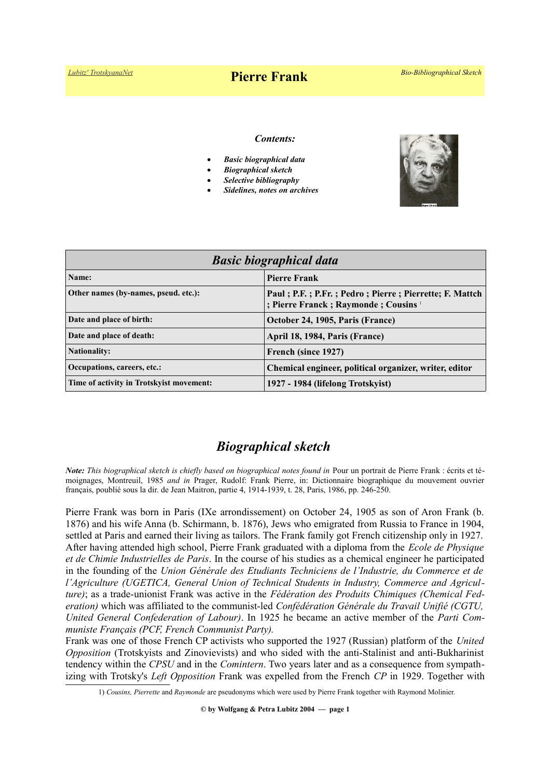# *[Lubitz' TrotskyanaNet](https://www.trotskyana.net/)* **Pierre Frank** *Bio-Bibliographical Sketch*

#### *Contents:*

- *Basic biographical data*
- *Biographical sketch*
- *Selective bibliography*
- *Sidelines, notes on archives*



| <b>Basic biographical data</b>           |                                                                                                |
|------------------------------------------|------------------------------------------------------------------------------------------------|
| Name:                                    | <b>Pierre Frank</b>                                                                            |
| Other names (by-names, pseud. etc.):     | Paul; P.F.; P.Fr.; Pedro; Pierre; Pierrette; F. Mattch<br>; Pierre Franck; Raymonde; Cousins 1 |
| Date and place of birth:                 | October 24, 1905, Paris (France)                                                               |
| Date and place of death:                 | April 18, 1984, Paris (France)                                                                 |
| <b>Nationality:</b>                      | French (since 1927)                                                                            |
| Occupations, careers, etc.:              | Chemical engineer, political organizer, writer, editor                                         |
| Time of activity in Trotskyist movement: | 1927 - 1984 (lifelong Trotskyist)                                                              |

# *Biographical sketch*

*Note: This biographical sketch is chiefly based on biographical notes found in* Pour un portrait de Pierre Frank : écrits et témoignages, Montreuil, 1985 *and in* Prager, Rudolf: Frank Pierre, in: Dictionnaire biographique du mouvement ouvrier français, poublié sous la dir. de Jean Maitron, partie 4, 1914-1939, t. 28, Paris, 1986, pp. 246-250.

Pierre Frank was born in Paris (IXe arrondissement) on October 24, 1905 as son of Aron Frank (b. 1876) and his wife Anna (b. Schirmann, b. 1876), Jews who emigrated from Russia to France in 1904, settled at Paris and earned their living as tailors. The Frank family got French citizenship only in 1927. After having attended high school, Pierre Frank graduated with a diploma from the *Ecole de Physique et de Chimie Industrielles de Paris*. In the course of his studies as a chemical engineer he participated in the founding of the *Union Générale des Etudiants Techniciens de l'Industrie, du Commerce et de l'Agriculture (UGETICA, General Union of Technical Students in Industry, Commerce and Agriculture)*; as a trade-unionist Frank was active in the *Fédération des Produits Chimiques (Chemical Federation)* which was affiliated to the communist-led *Confédération Générale du Travail Unifié (CGTU, United General Confederation of Labour)*. In 1925 he became an active member of the *Parti Communiste Français (PCF, French Communist Party).*

Frank was one of those French CP activists who supported the 1927 (Russian) platform of the *United Opposition* (Trotskyists and Zinovievists) and who sided with the anti-Stalinist and anti-Bukharinist tendency within the *CPSU* and in the *Comintern*. Two years later and as a consequence from sympathizing with Trotsky's *Left Opposition* Frank was expelled from the French *CP* in 1929. Together with

<span id="page-0-0"></span><sup>1)</sup> *Cousins, Pierrette* and *Raymonde* are pseudonyms which were used by Pierre Frank together with Raymond Molinier.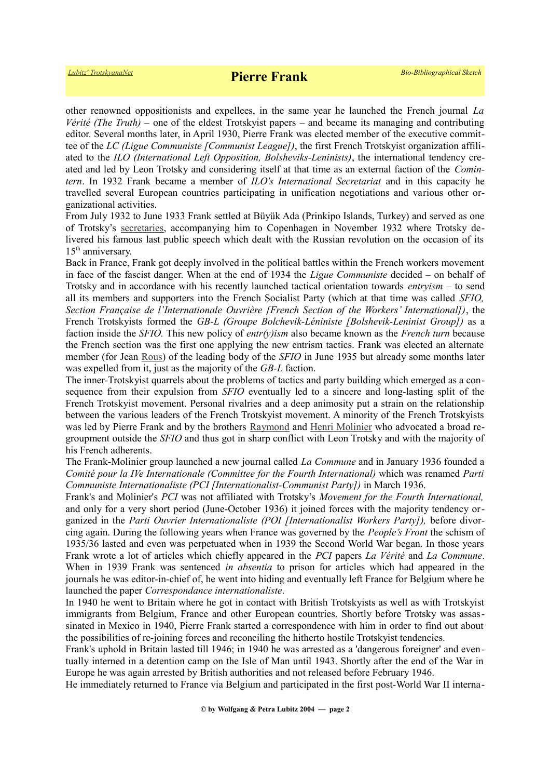other renowned oppositionists and expellees, in the same year he launched the French journal *La Vérité (The Truth) –* one of the eldest Trotskyist papers *–* and became its managing and contributing editor. Several months later, in April 1930, Pierre Frank was elected member of the executive committee of the *LC (Ligue Communiste [Communist League])*, the first French Trotskyist organization affiliated to the *ILO (International Left Opposition, Bolsheviks-Leninists)*, the international tendency created and led by Leon Trotsky and considering itself at that time as an external faction of the *Comintern*. In 1932 Frank became a member of *ILO's International Secretariat* and in this capacity he travelled several European countries participating in unification negotiations and various other organizational activities.

From July 1932 to June 1933 Frank settled at Büyük Ada (Prinkipo Islands, Turkey) and served as one of Trotsky's [secretaries,](https://www.trotskyana.net/Leon_Trotsky/Pseudonyms/trotsky_pseudonyms.html#secretaries) accompanying him to Copenhagen in November 1932 where Trotsky delivered his famous last public speech which dealt with the Russian revolution on the occasion of its 15<sup>th</sup> anniversary.

Back in France, Frank got deeply involved in the political battles within the French workers movement in face of the fascist danger. When at the end of 1934 the *Ligue Communiste* decided – on behalf of Trotsky and in accordance with his recently launched tactical orientation towards *entryism* – to send all its members and supporters into the French Socialist Party (which at that time was called *SFIO, Section Française de l'Internationale Ouvrière [French Section of the Workers' International])*, the French Trotskyists formed the *GB-L (Groupe Bolchevik-Léniniste [Bolshevik-Leninist Group])* as a faction inside the *SFIO.* This new policy of *entr(y)ism* also became known as the *French turn* because the French section was the first one applying the new entrism tactics. Frank was elected an alternate member (for Jean [Rous\)](https://fr.wikipedia.org/wiki/Jean_Rous) of the leading body of the *SFIO* in June 1935 but already some months later was expelled from it, just as the majority of the *GB-L* faction.

The inner-Trotskyist quarrels about the problems of tactics and party building which emerged as a consequence from their expulsion from *SFIO* eventually led to a sincere and long-lasting split of the French Trotskyist movement. Personal rivalries and a deep animosity put a strain on the relationship between the various leaders of the French Trotskyist movement. A minority of the French Trotskyists was led by Pierre Frank and by the brothers [Raymond](https://fr.wikipedia.org/wiki/Raymond_Molinier) and [Henri Molinier](https://fr.wikipedia.org/wiki/Henri_Molinier) who advocated a broad regroupment outside the *SFIO* and thus got in sharp conflict with Leon Trotsky and with the majority of his French adherents.

The Frank-Molinier group launched a new journal called *La Commune* and in January 1936 founded a *Comité pour la IVe Internationale (Committee for the Fourth International)* which was renamed *Parti Communiste Internationaliste (PCI [Internationalist-Communist Party])* in March 1936.

Frank's and Molinier's *PCI* was not affiliated with Trotsky's *Movement for the Fourth International,* and only for a very short period (June-October 1936) it joined forces with the majority tendency organized in the *Parti Ouvrier Internationaliste (POI [Internationalist Workers Party]),* before divorcing again. During the following years when France was governed by the *People's Front* the schism of 1935/36 lasted and even was perpetuated when in 1939 the Second World War began. In those years Frank wrote a lot of articles which chiefly appeared in the *PCI* papers *La Vérité* and *La Commune*. When in 1939 Frank was sentenced *in absentia* to prison for articles which had appeared in the journals he was editor-in-chief of, he went into hiding and eventually left France for Belgium where he launched the paper *Correspondance internationaliste*.

In 1940 he went to Britain where he got in contact with British Trotskyists as well as with Trotskyist immigrants from Belgium, France and other European countries. Shortly before Trotsky was assassinated in Mexico in 1940, Pierre Frank started a correspondence with him in order to find out about the possibilities of re-joining forces and reconciling the hitherto hostile Trotskyist tendencies.

Frank's uphold in Britain lasted till 1946; in 1940 he was arrested as a 'dangerous foreigner' and eventually interned in a detention camp on the Isle of Man until 1943. Shortly after the end of the War in Europe he was again arrested by British authorities and not released before February 1946.

He immediately returned to France via Belgium and participated in the first post-World War II interna-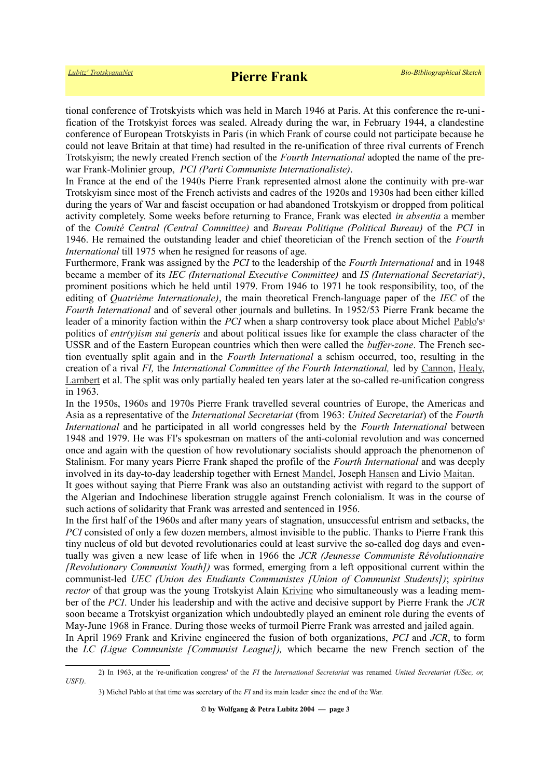tional conference of Trotskyists which was held in March 1946 at Paris. At this conference the re-unification of the Trotskyist forces was sealed. Already during the war, in February 1944, a clandestine conference of European Trotskyists in Paris (in which Frank of course could not participate because he could not leave Britain at that time) had resulted in the re-unification of three rival currents of French Trotskyism; the newly created French section of the *Fourth International* adopted the name of the prewar Frank-Molinier group, *PCI (Parti Communiste Internationaliste)*.

In France at the end of the 1940s Pierre Frank represented almost alone the continuity with pre-war Trotskyism since most of the French activists and cadres of the 1920s and 1930s had been either killed during the years of War and fascist occupation or had abandoned Trotskyism or dropped from political activity completely. Some weeks before returning to France, Frank was elected *in absentia* a member of the *Comité Central (Central Committee)* and *Bureau Politique (Political Bureau)* of the *PCI* in 1946. He remained the outstanding leader and chief theoretician of the French section of the *Fourth International* till 1975 when he resigned for reasons of age.

Furthermore, Frank was assigned by the *PCI* to the leadership of the *Fourth International* and in 1948 became a member of its *IEC* (International Executive Committee) and *IS* (International Secretariat<sup>[2](#page-2-0)</sup>), prominent positions which he held until 1979. From 1946 to 1971 he took responsibility, too, of the editing of *Quatrième Internationale)*, the main theoretical French-language paper of the *IEC* of the *Fourth International* and of several other journals and bulletins. In 1952/53 Pierre Frank became the leader of a minority faction within the *PCI* when a sharp controversy took place about Michel [Pablo'](https://www.trotskyana.net/Trotskyists/Bio-Bibliographies/bio-bibl_pablo.pdf)s<sup>[3](#page-2-1)</sup> politics of *entr(y)ism sui generis* and about political issues like for example the class character of the USSR and of the Eastern European countries which then were called the *buffer-zone*. The French section eventually split again and in the *Fourth International* a schism occurred, too, resulting in the creation of a rival *FI,* the *International Committee of the Fourth International,* led by [Cannon,](https://www.trotskyana.net/Trotskyists/Bio-Bibliographies/bio-bibl_cannon.pdf) [Healy,](https://www.trotskyana.net/Trotskyists/Bio-Bibliographies/bio-bibl_healy.pdf) [Lambert](https://en.wikipedia.org/wiki/Pierre_Lambert) et al. The split was only partially healed ten years later at the so-called re-unification congress in 1963.

In the 1950s, 1960s and 1970s Pierre Frank travelled several countries of Europe, the Americas and Asia as a representative of the *International Secretariat* (from 1963: *United Secretariat*) of the *Fourth International* and he participated in all world congresses held by the *Fourth International* between 1948 and 1979. He was FI's spokesman on matters of the anti-colonial revolution and was concerned once and again with the question of how revolutionary socialists should approach the phenomenon of Stalinism. For many years Pierre Frank shaped the profile of the *Fourth International* and was deeply involved in its day-to-day leadership together with Ernest [Mandel,](https://www.trotskyana.net/Trotskyists/Ernest_Mandel/ernest_mandel.html) Joseph [Hansen](https://www.trotskyana.net/Trotskyists/Bio-Bibliographies/bio-bibl_hansen_j.pdf) and Livio [Maitan.](https://www.trotskyana.net/Trotskyists/Bio-Bibliographies/bio-bibl_maitan.pdf)

It goes without saying that Pierre Frank was also an outstanding activist with regard to the support of the Algerian and Indochinese liberation struggle against French colonialism. It was in the course of such actions of solidarity that Frank was arrested and sentenced in 1956.

In the first half of the 1960s and after many years of stagnation, unsuccessful entrism and setbacks, the *PCI* consisted of only a few dozen members, almost invisible to the public. Thanks to Pierre Frank this tiny nucleus of old but devoted revolutionaries could at least survive the so-called dog days and eventually was given a new lease of life when in 1966 the *JCR (Jeunesse Communiste Révolutionnaire [Revolutionary Communist Youth])* was formed, emerging from a left oppositional current within the communist-led *UEC (Union des Etudiants Communistes [Union of Communist Students])*; *spiritus rector* of that group was the young Trotskyist Alain [Krivine](https://fr.wikipedia.org/wiki/Alain_Krivine) who simultaneously was a leading member of the *PCI*. Under his leadership and with the active and decisive support by Pierre Frank the *JCR* soon became a Trotskyist organization which undoubtedly played an eminent role during the events of May-June 1968 in France. During those weeks of turmoil Pierre Frank was arrested and jailed again.

In April 1969 Frank and Krivine engineered the fusion of both organizations, *PCI* and *JCR*, to form the *LC (Ligue Communiste [Communist League]),* which became the new French section of the

<sup>2)</sup> In 1963, at the 're-unification congress' of the *FI* the *International Secretariat* was renamed *United Secretariat (USec, or, USFI)*.

<span id="page-2-1"></span><span id="page-2-0"></span><sup>3)</sup> Michel Pablo at that time was secretary of the *FI* and its main leader since the end of the War.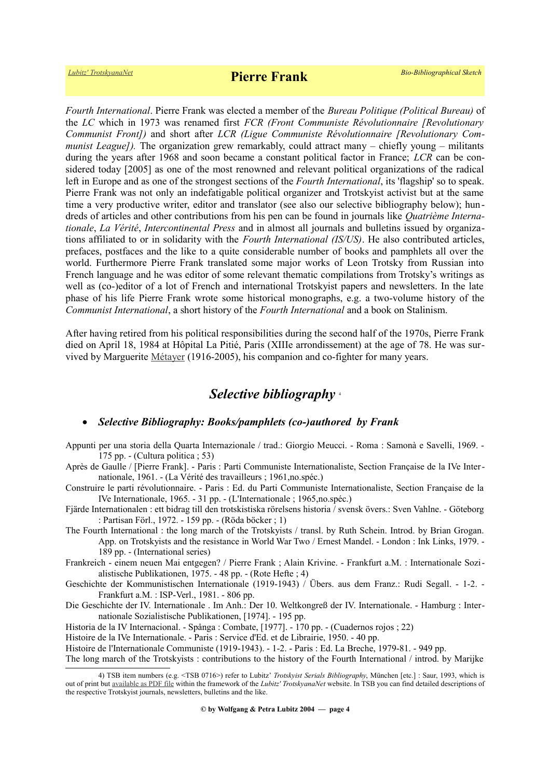*Fourth International*. Pierre Frank was elected a member of the *Bureau Politique (Political Bureau)* of the *LC* which in 1973 was renamed first *FCR (Front Communiste Révolutionnaire [Revolutionary Communist Front])* and short after *LCR (Ligue Communiste Révolutionnaire [Revolutionary Communist League]).* The organization grew remarkably, could attract many – chiefly young – militants during the years after 1968 and soon became a constant political factor in France; *LCR* can be considered today [2005] as one of the most renowned and relevant political organizations of the radical left in Europe and as one of the strongest sections of the *Fourth International*, its 'flagship' so to speak. Pierre Frank was not only an indefatigable political organizer and Trotskyist activist but at the same time a very productive writer, editor and translator (see also our selective bibliography below); hundreds of articles and other contributions from his pen can be found in journals like *Quatrième Internationale*, *La Vérité*, *Intercontinental Press* and in almost all journals and bulletins issued by organizations affiliated to or in solidarity with the *Fourth International (IS/US)*. He also contributed articles, prefaces, postfaces and the like to a quite considerable number of books and pamphlets all over the world. Furthermore Pierre Frank translated some major works of Leon Trotsky from Russian into French language and he was editor of some relevant thematic compilations from Trotsky's writings as well as (co-)editor of a lot of French and international Trotskyist papers and newsletters. In the late phase of his life Pierre Frank wrote some historical monographs, e.g. a two-volume history of the *Communist International*, a short history of the *Fourth International* and a book on Stalinism.

After having retired from his political responsibilities during the second half of the 1970s, Pierre Frank died on April 18, 1984 at Hôpital La Pitié, Paris (XIIIe arrondissement) at the age of 78. He was survived by Marguerite [Métayer](http://www.inprecor.fr/article-Les%20N%C3%B4tres-Marguerite%20M%C3%A9tayer%201916-2005?id=353) (1916-2005), his companion and co-fighter for many years.

# *Selective bibliography* [4](#page-3-0)

## *Selective Bibliography: Books/pamphlets (co-)authored by Frank*

- Appunti per una storia della Quarta Internazionale / trad.: Giorgio Meucci. Roma : Samonà e Savelli, 1969. 175 pp. - (Cultura politica ; 53)
- Après de Gaulle / [Pierre Frank]. Paris : Parti Communiste Internationaliste, Section Française de la IVe Internationale, 1961. - (La Vérité des travailleurs ; 1961,no.spéc.)
- Construire le parti révolutionnaire. Paris : Ed. du Parti Communiste Internationaliste, Section Française de la IVe Internationale, 1965. - 31 pp. - (L'Internationale ; 1965,no.spéc.)
- Fjärde Internationalen : ett bidrag till den trotskistiska rörelsens historia / svensk övers.: Sven Vahlne. Göteborg : Partisan Förl., 1972. - 159 pp. - (Röda böcker ; 1)
- The Fourth International : the long march of the Trotskyists / transl. by Ruth Schein. Introd. by Brian Grogan. App. on Trotskyists and the resistance in World War Two / Ernest Mandel. - London : Ink Links, 1979. - 189 pp. - (International series)
- Frankreich einem neuen Mai entgegen? / Pierre Frank ; Alain Krivine. Frankfurt a.M. : Internationale Sozialistische Publikationen, 1975. - 48 pp. - (Rote Hefte ; 4)
- Geschichte der Kommunistischen Internationale (1919-1943) / Übers. aus dem Franz.: Rudi Segall. 1-2. Frankfurt a.M. : ISP-Verl., 1981. - 806 pp.
- Die Geschichte der IV. Internationale . Im Anh.: Der 10. Weltkongreß der IV. Internationale. Hamburg : Internationale Sozialistische Publikationen, [1974]. - 195 pp.

Historia de la IV Internacional. - Spånga : Combate, [1977]. - 170 pp. - (Cuadernos rojos ; 22)

Histoire de la IVe Internationale. - Paris : Service d'Ed. et de Librairie, 1950. - 40 pp.

Histoire de l'Internationale Communiste (1919-1943). - 1-2. - Paris : Ed. La Breche, 1979-81. - 949 pp.

The long march of the Trotskyists : contributions to the history of the Fourth International / introd. by Marijke

<span id="page-3-0"></span><sup>4)</sup> TSB item numbers (e.g. <TSB 0716>) refer to Lubitz' *Trotskyist Serials Bibliography*, München [etc.] : Saur, 1993, which is out of print but [available as PDF file](https://www.trotskyana.net/LubitzBibliographies/Serials_Bibliography/serials_bibliography.htm#PDF) within the framework of the *Lubitz' TrotskyanaNet* website. In TSB you can find detailed descriptions of the respective Trotskyist journals, newsletters, bulletins and the like.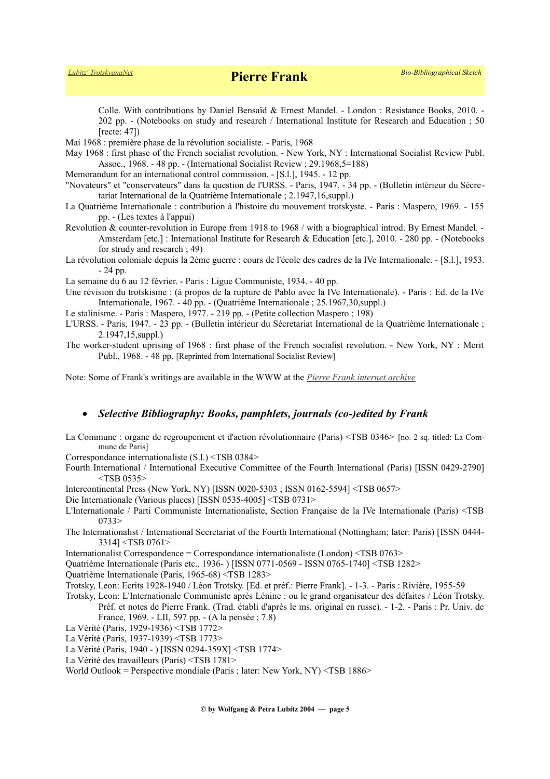Colle. With contributions by Daniel Bensaïd & Ernest Mandel. - London : Resistance Books, 2010. - 202 pp. - (Notebooks on study and research / International Institute for Research and Education ; 50 [recte: 47])

Mai 1968 : première phase de la révolution socialiste. - Paris, 1968

May 1968 : first phase of the French socialist revolution. - New York, NY : International Socialist Review Publ. Assoc., 1968. - 48 pp. - (International Socialist Review ; 29.1968,5=188)

Memorandum for an international control commission. - [S.l.], 1945. - 12 pp.

- "Novateurs" et "conservateurs" dans la question de l'URSS. Paris, 1947. 34 pp. (Bulletin intérieur du Sécretariat International de la Quatrième Internationale ; 2.1947,16,suppl.)
- La Quatrième Internationale : contribution à l'histoire du mouvement trotskyste. Paris : Maspero, 1969. 155 pp. - (Les textes à l'appui)
- Revolution & counter-revolution in Europe from 1918 to 1968 / with a biographical introd. By Ernest Mandel. Amsterdam [etc.] : International Institute for Research & Education [etc.], 2010. - 280 pp. - (Notebooks for strudy and research ; 49)
- La révolution coloniale depuis la 2ème guerre : cours de l'école des cadres de la IVe Internationale. [S.l.], 1953. - 24 pp.

La semaine du 6 au 12 février. - Paris : Ligue Communiste, 1934. - 40 pp.

- Une révision du trotskisme : (à propos de la rupture de Pablo avec la IVe Internationale). Paris : Ed. de la IVe Internationale, 1967. - 40 pp. - (Quatrième Internationale ; 25.1967,30,suppl.)
- Le stalinisme. Paris : Maspero, 1977. 219 pp. (Petite collection Maspero ; 198)
- L'URSS. Paris, 1947. 23 pp. (Bulletin intérieur du Sécretariat International de la Quatrième Internationale ; 2.1947,15,suppl.)
- The worker-student uprising of 1968 : first phase of the French socialist revolution. New York, NY : Merit Publ., 1968. - 48 pp. [Reprinted from International Socialist Review]

Note: Some of Frank's writings are available in the WWW at the *[Pierre Frank internet archive](http://www.marxists.org/history/etol/writers/frank/index.htm)*

### *Selective Bibliography: Books, pamphlets, journals (co-)edited by Frank*

La Commune : organe de regroupement et d'action révolutionnaire (Paris) <TSB 0346> [no. 2 sq. titled: La Commune de Paris]

Correspondance internationaliste (S.l.) <TSB 0384>

- Fourth International / International Executive Committee of the Fourth International (Paris) [ISSN 0429-2790]  $<$ TSB 0535 $>$
- Intercontinental Press (New York, NY) [ISSN 0020-5303 ; ISSN 0162-5594] <TSB 0657>

Die Internationale (Various places) [ISSN 0535-4005] <TSB 0731>

- L'Internationale / Parti Communiste Internationaliste, Section Française de la IVe Internationale (Paris) <TSB 0733>
- The Internationalist / International Secretariat of the Fourth International (Nottingham; later: Paris) [ISSN 0444- 3314] <TSB 0761>
- Internationalist Correspondence = Correspondance internationaliste (London) <TSB 0763>

Quatrième Internationale (Paris etc., 1936- ) [ISSN 0771-0569 - ISSN 0765-1740] <TSB 1282>

Quatrième Internationale (Paris, 1965-68) <TSB 1283>

- Trotsky, Leon: Ecrits 1928-1940 / Léon Trotsky. [Ed. et préf.: Pierre Frank]. 1-3. Paris : Rivière, 1955-59
- Trotsky, Leon: L'Internationale Communiste après Lénine : ou le grand organisateur des défaites / Léon Trotsky. Préf. et notes de Pierre Frank. (Trad. établi d'après le ms. original en russe). - 1-2. - Paris : Pr. Univ. de France, 1969. - LII, 597 pp. - (A la pensée ; 7.8)
- La Vérité (Paris, 1929-1936) <TSB 1772>
- La Vérité (Paris, 1937-1939) <TSB 1773>
- La Vérité (Paris, 1940 ) [ISSN 0294-359X] <TSB 1774>
- La Vérité des travailleurs (Paris) <TSB 1781>
- World Outlook = Perspective mondiale (Paris ; later: New York, NY) <TSB 1886>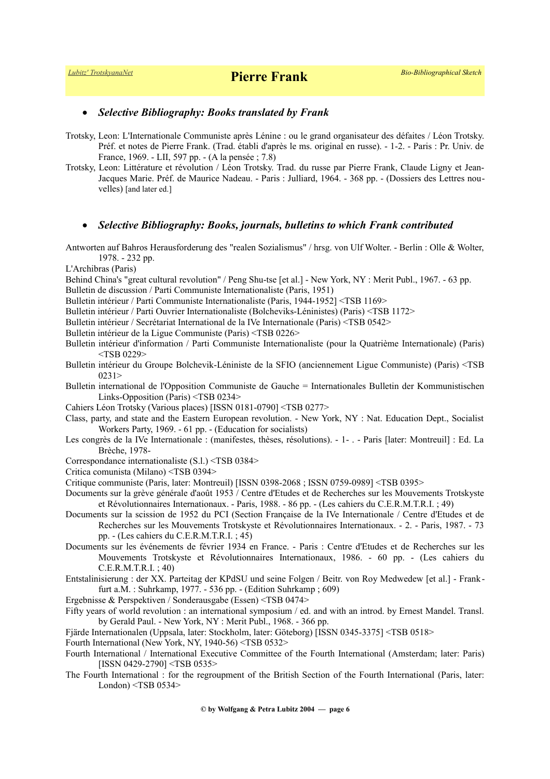#### *Selective Bibliography: Books translated by Frank*

- Trotsky, Leon: L'Internationale Communiste après Lénine : ou le grand organisateur des défaites / Léon Trotsky. Préf. et notes de Pierre Frank. (Trad. établi d'après le ms. original en russe). - 1-2. - Paris : Pr. Univ. de France, 1969. - LII, 597 pp. - (A la pensée ; 7.8)
- Trotsky, Leon: Littérature et révolution / Léon Trotsky. Trad. du russe par Pierre Frank, Claude Ligny et Jean-Jacques Marie. Préf. de Maurice Nadeau. - Paris : Julliard, 1964. - 368 pp. - (Dossiers des Lettres nouvelles) [and later ed.]

#### *Selective Bibliography: Books, journals, bulletins to which Frank contributed*

- Antworten auf Bahros Herausforderung des "realen Sozialismus" / hrsg. von Ulf Wolter. Berlin : Olle & Wolter, 1978. - 232 pp.
- L'Archibras (Paris)
- Behind China's "great cultural revolution" / Peng Shu-tse [et al.] New York, NY : Merit Publ., 1967. 63 pp.
- Bulletin de discussion / Parti Communiste Internationaliste (Paris, 1951)
- Bulletin intérieur / Parti Communiste Internationaliste (Paris, 1944-1952] <TSB 1169>
- Bulletin intérieur / Parti Ouvrier Internationaliste (Bolcheviks-Léninistes) (Paris) <TSB 1172>
- Bulletin intérieur / Secrétariat International de la IVe Internationale (Paris) <TSB 0542>
- Bulletin intérieur de la Ligue Communiste (Paris) <TSB 0226>
- Bulletin intérieur d'information / Parti Communiste Internationaliste (pour la Quatrième Internationale) (Paris) <TSB 0229>
- Bulletin intérieur du Groupe Bolchevik-Léniniste de la SFIO (anciennement Ligue Communiste) (Paris) <TSB  $0231>$
- Bulletin international de l'Opposition Communiste de Gauche = Internationales Bulletin der Kommunistischen Links-Opposition (Paris) <TSB 0234>
- Cahiers Léon Trotsky (Various places) [ISSN 0181-0790] <TSB 0277>
- Class, party, and state and the Eastern European revolution. New York, NY : Nat. Education Dept., Socialist Workers Party, 1969. - 61 pp. - (Education for socialists)
- Les congrès de la IVe Internationale : (manifestes, thèses, résolutions). 1- . Paris [later: Montreuil] : Ed. La Brèche, 1978-
- Correspondance internationaliste (S.l.) <TSB 0384>
- Critica comunista (Milano) <TSB 0394>
- Critique communiste (Paris, later: Montreuil) [ISSN 0398-2068 ; ISSN 0759-0989] <TSB 0395>
- Documents sur la grève générale d'août 1953 / Centre d'Etudes et de Recherches sur les Mouvements Trotskyste et Révolutionnaires Internationaux. - Paris, 1988. - 86 pp. - (Les cahiers du C.E.R.M.T.R.I. ; 49)
- Documents sur la scission de 1952 du PCI (Section Française de la IVe Internationale / Centre d'Etudes et de Recherches sur les Mouvements Trotskyste et Révolutionnaires Internationaux. - 2. - Paris, 1987. - 73 pp. - (Les cahiers du C.E.R.M.T.R.I. ; 45)
- Documents sur les événements de février 1934 en France. Paris : Centre d'Etudes et de Recherches sur les Mouvements Trotskyste et Révolutionnaires Internationaux, 1986. - 60 pp. - (Les cahiers du C.E.R.M.T.R.I. ; 40)
- Entstalinisierung : der XX. Parteitag der KPdSU und seine Folgen / Beitr. von Roy Medwedew [et al.] Frankfurt a.M. : Suhrkamp, 1977. - 536 pp. - (Edition Suhrkamp ; 609)
- Ergebnisse & Perspektiven / Sonderausgabe (Essen) <TSB 0474>
- Fifty years of world revolution : an international symposium / ed. and with an introd. by Ernest Mandel. Transl. by Gerald Paul. - New York, NY : Merit Publ., 1968. - 366 pp.
- Fjärde Internationalen (Uppsala, later: Stockholm, later: Göteborg) [ISSN 0345-3375] <TSB 0518>
- Fourth International (New York, NY, 1940-56) <TSB 0532>
- Fourth International / International Executive Committee of the Fourth International (Amsterdam; later: Paris) [ISSN 0429-2790] <TSB 0535>
- The Fourth International : for the regroupment of the British Section of the Fourth International (Paris, later: London) <TSB 0534>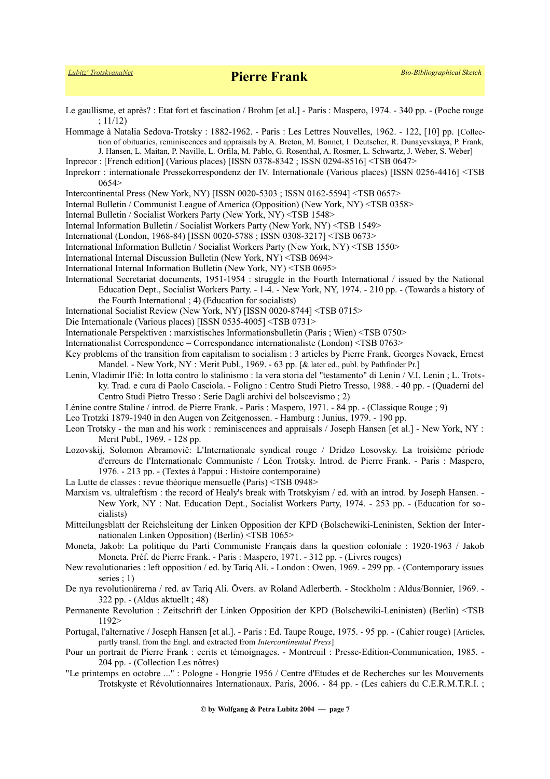Le gaullisme, et après? : Etat fort et fascination / Brohm [et al.] - Paris : Maspero, 1974. - 340 pp. - (Poche rouge ; 11/12)

- Hommage à Natalia Sedova-Trotsky : 1882-1962. Paris : Les Lettres Nouvelles, 1962. 122, [10] pp. [Collection of obituaries, reminiscences and appraisals by A. Breton, M. Bonnet, I. Deutscher, R. Dunayevskaya, P. Frank, J. Hansen, L. Maitan, P. Naville, L. Orfila, M. Pablo, G. Rosenthal, A. Rosmer, L. Schwartz, J. Weber, S. Weber]
- Inprecor : [French edition] (Various places) [ISSN 0378-8342 ; ISSN 0294-8516] <TSB 0647>
- Inprekorr : internationale Pressekorrespondenz der IV. Internationale (Various places) [ISSN 0256-4416] <TSB 0654>
- Intercontinental Press (New York, NY) [ISSN 0020-5303 ; ISSN 0162-5594] <TSB 0657>
- Internal Bulletin / Communist League of America (Opposition) (New York, NY) <TSB 0358>
- Internal Bulletin / Socialist Workers Party (New York, NY) <TSB 1548>
- Internal Information Bulletin / Socialist Workers Party (New York, NY) <TSB 1549>
- International (London, 1968-84) [ISSN 0020-5788 ; ISSN 0308-3217] <TSB 0673>
- International Information Bulletin / Socialist Workers Party (New York, NY) <TSB 1550>
- International Internal Discussion Bulletin (New York, NY) <TSB 0694>
- International Internal Information Bulletin (New York, NY) <TSB 0695>
- International Secretariat documents, 1951-1954 : struggle in the Fourth International / issued by the National Education Dept., Socialist Workers Party. - 1-4. - New York, NY, 1974. - 210 pp. - (Towards a history of the Fourth International ; 4) (Education for socialists)
- International Socialist Review (New York, NY) [ISSN 0020-8744] <TSB 0715>
- Die Internationale (Various places) [ISSN 0535-4005] <TSB 0731>
- Internationale Perspektiven : marxistisches Informationsbulletin (Paris ; Wien) <TSB 0750>
- Internationalist Correspondence = Correspondance internationaliste (London) <TSB 0763>
- Key problems of the transition from capitalism to socialism : 3 articles by Pierre Frank, Georges Novack, Ernest Mandel. - New York, NY : Merit Publ., 1969. - 63 pp. [& later ed., publ. by Pathfinder Pr.]
- Lenin, Vladimir Il'ič: In lotta contro lo stalinismo : la vera storia del "testamento" di Lenin / V.I. Lenin ; L. Trotsky. Trad. e cura di Paolo Casciola. - Foligno : Centro Studi Pietro Tresso, 1988. - 40 pp. - (Quaderni del Centro Studi Pietro Tresso : Serie Dagli archivi del bolscevismo ; 2)
- Lénine contre Staline / introd. de Pierre Frank. Paris : Maspero, 1971. 84 pp. (Classique Rouge ; 9)
- Leo Trotzki 1879-1940 in den Augen von Zeitgenossen. Hamburg : Junius, 1979. 190 pp.
- Leon Trotsky the man and his work : reminiscences and appraisals / Joseph Hansen [et al.] New York, NY : Merit Publ., 1969. - 128 pp.
- Lozovskij, Solomon Abramovič: L'Internationale syndical rouge / Dridzo Losovsky. La troisième période d'erreurs de l'Internationale Communiste / Léon Trotsky. Introd. de Pierre Frank. - Paris : Maspero, 1976. - 213 pp. - (Textes à l'appui : Histoire contemporaine)
- La Lutte de classes : revue théorique mensuelle (Paris) <TSB 0948>
- Marxism vs. ultraleftism : the record of Healy's break with Trotskyism / ed. with an introd. by Joseph Hansen. New York, NY : Nat. Education Dept., Socialist Workers Party, 1974. - 253 pp. - (Education for socialists)
- Mitteilungsblatt der Reichsleitung der Linken Opposition der KPD (Bolschewiki-Leninisten, Sektion der Internationalen Linken Opposition) (Berlin) <TSB 1065>
- Moneta, Jakob: La politique du Parti Communiste Français dans la question coloniale : 1920-1963 / Jakob Moneta. Préf. de Pierre Frank. - Paris : Maspero, 1971. - 312 pp. - (Livres rouges)
- New revolutionaries : left opposition / ed. by Tariq Ali. London : Owen, 1969. 299 pp. (Contemporary issues series ; 1)
- De nya revolutionärerna / red. av Tariq Ali. Övers. av Roland Adlerberth. Stockholm : Aldus/Bonnier, 1969. 322 pp. - (Aldus aktuellt ; 48)
- Permanente Revolution : Zeitschrift der Linken Opposition der KPD (Bolschewiki-Leninisten) (Berlin) <TSB 1192>
- Portugal, l'alternative / Joseph Hansen [et al.]. Paris : Ed. Taupe Rouge, 1975. 95 pp. (Cahier rouge) [Articles, partly transl. from the Engl. and extracted from *Intercontinental Press*]
- Pour un portrait de Pierre Frank : ecrits et témoignages. Montreuil : Presse-Edition-Communication, 1985. 204 pp. - (Collection Les nôtres)
- "Le printemps en octobre ..." : Pologne Hongrie 1956 / Centre d'Etudes et de Recherches sur les Mouvements Trotskyste et Révolutionnaires Internationaux. Paris, 2006. - 84 pp. - (Les cahiers du C.E.R.M.T.R.I. ;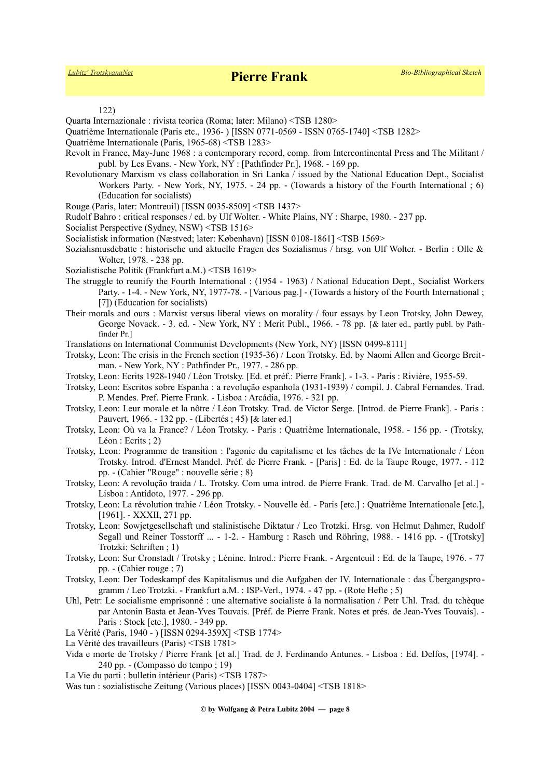122)

Quarta Internazionale : rivista teorica (Roma; later: Milano) <TSB 1280>

Quatrième Internationale (Paris etc., 1936- ) [ISSN 0771-0569 - ISSN 0765-1740] <TSB 1282>

- Quatrième Internationale (Paris, 1965-68) <TSB 1283>
- Revolt in France, May-June 1968 : a contemporary record, comp. from Intercontinental Press and The Militant / publ. by Les Evans. - New York, NY : [Pathfinder Pr.], 1968. - 169 pp.
- Revolutionary Marxism vs class collaboration in Sri Lanka / issued by the National Education Dept., Socialist Workers Party. - New York, NY, 1975. - 24 pp. - (Towards a history of the Fourth International ; 6) (Education for socialists)
- Rouge (Paris, later: Montreuil) [ISSN 0035-8509] <TSB 1437>
- Rudolf Bahro : critical responses / ed. by Ulf Wolter. White Plains, NY : Sharpe, 1980. 237 pp.
- Socialist Perspective (Sydney, NSW) <TSB 1516>
- Socialistisk information (Næstved; later: København) [ISSN 0108-1861] <TSB 1569>
- Sozialismusdebatte : historische und aktuelle Fragen des Sozialismus / hrsg. von Ulf Wolter. Berlin : Olle & Wolter, 1978. - 238 pp.
- Sozialistische Politik (Frankfurt a.M.) <TSB 1619>
- The struggle to reunify the Fourth International : (1954 1963) / National Education Dept., Socialist Workers Party. - 1-4. - New York, NY, 1977-78. - [Various pag.] - (Towards a history of the Fourth International ; [7]) (Education for socialists)
- Their morals and ours : Marxist versus liberal views on morality / four essays by Leon Trotsky, John Dewey, George Novack. - 3. ed. - New York, NY : Merit Publ., 1966. - 78 pp. [& later ed., partly publ. by Pathfinder Pr.]
- Translations on International Communist Developments (New York, NY) [ISSN 0499-8111]
- Trotsky, Leon: The crisis in the French section (1935-36) / Leon Trotsky. Ed. by Naomi Allen and George Breitman. - New York, NY : Pathfinder Pr., 1977. - 286 pp.
- Trotsky, Leon: Ecrits 1928-1940 / Léon Trotsky. [Ed. et préf.: Pierre Frank]. 1-3. Paris : Rivière, 1955-59.
- Trotsky, Leon: Escritos sobre Espanha : a revolução espanhola (1931-1939) / compil. J. Cabral Fernandes. Trad. P. Mendes. Pref. Pierre Frank. - Lisboa : Arcádia, 1976. - 321 pp.
- Trotsky, Leon: Leur morale et la nôtre / Léon Trotsky. Trad. de Victor Serge. [Introd. de Pierre Frank]. Paris : Pauvert, 1966. - 132 pp. - (Libertés ; 45) [& later ed.]
- Trotsky, Leon: Où va la France? / Léon Trotsky. Paris : Quatrième Internationale, 1958. 156 pp. (Trotsky, Léon : Ecrits ; 2)
- Trotsky, Leon: Programme de transition : l'agonie du capitalisme et les tâches de la IVe Internationale / Léon Trotsky. Introd. d'Ernest Mandel. Préf. de Pierre Frank. - [Paris] : Ed. de la Taupe Rouge, 1977. - 112 pp. - (Cahier "Rouge" : nouvelle série ; 8)
- Trotsky, Leon: A revolução traida / L. Trotsky. Com uma introd. de Pierre Frank. Trad. de M. Carvalho [et al.] Lisboa : Antidoto, 1977. - 296 pp.
- Trotsky, Leon: La révolution trahie / Léon Trotsky. Nouvelle éd. Paris [etc.] : Quatrième Internationale [etc.], [1961]. - XXXII, 271 pp.
- Trotsky, Leon: Sowjetgesellschaft und stalinistische Diktatur / Leo Trotzki. Hrsg. von Helmut Dahmer, Rudolf Segall und Reiner Tosstorff ... - 1-2. - Hamburg : Rasch und Röhring, 1988. - 1416 pp. - ([Trotsky] Trotzki: Schriften ; 1)
- Trotsky, Leon: Sur Cronstadt / Trotsky ; Lénine. Introd.: Pierre Frank. Argenteuil : Ed. de la Taupe, 1976. 77 pp. - (Cahier rouge ; 7)
- Trotsky, Leon: Der Todeskampf des Kapitalismus und die Aufgaben der IV. Internationale : das Übergangsprogramm / Leo Trotzki. - Frankfurt a.M. : ISP-Verl., 1974. - 47 pp. - (Rote Hefte ; 5)
- Uhl, Petr: Le socialisme emprisonné : une alternative socialiste à la normalisation / Petr Uhl. Trad. du tchèque par Antonin Basta et Jean-Yves Touvais. [Préf. de Pierre Frank. Notes et prés. de Jean-Yves Touvais]. - Paris : Stock [etc.], 1980. - 349 pp.
- La Vérité (Paris, 1940 ) [ISSN 0294-359X] <TSB 1774>
- La Vérité des travailleurs (Paris) <TSB 1781>
- Vida e morte de Trotsky / Pierre Frank [et al.] Trad. de J. Ferdinando Antunes. Lisboa : Ed. Delfos, [1974]. 240 pp. - (Compasso do tempo ; 19)
- La Vie du parti : bulletin intérieur (Paris) <TSB 1787>
- Was tun : sozialistische Zeitung (Various places) [ISSN 0043-0404] <TSB 1818>

**© by Wolfgang & Petra Lubitz 2004 — page 8**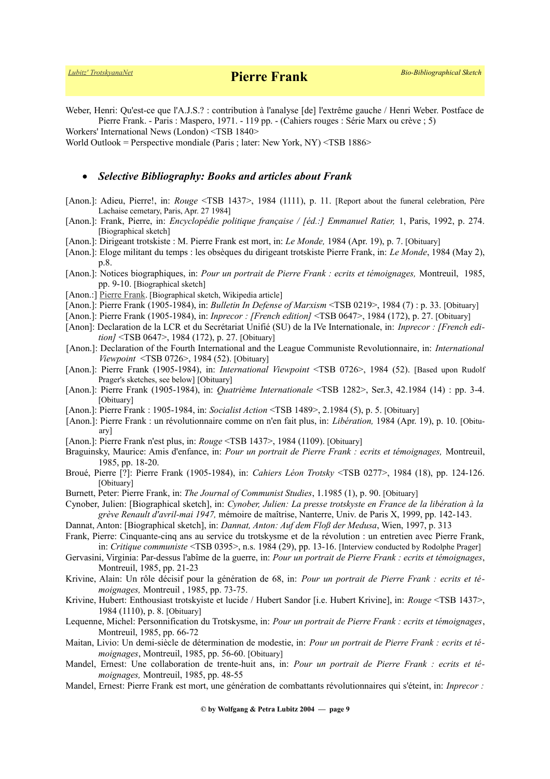Weber, Henri: Qu'est-ce que l'A.J.S.? : contribution à l'analyse [de] l'extrême gauche / Henri Weber. Postface de Pierre Frank. - Paris : Maspero, 1971. - 119 pp. - (Cahiers rouges : Série Marx ou crève ; 5)

Workers' International News (London) <TSB 1840>

World Outlook = Perspective mondiale (Paris ; later: New York, NY) <TSB 1886>

#### *Selective Bibliography: Books and articles about Frank*

- [Anon.]: Adieu, Pierre!, in: *Rouge* <TSB 1437>, 1984 (1111), p. 11. [Report about the funeral celebration, Père Lachaise cemetary, Paris, Apr. 27 1984]
- [Anon.]: Frank, Pierre, in: *Encyclopédie politique française / [éd.:] Emmanuel Ratier,* 1, Paris, 1992, p. 274. [Biographical sketch]
- [Anon.]: Dirigeant trotskiste : M. Pierre Frank est mort, in: *Le Monde,* 1984 (Apr. 19), p. 7. [Obituary]
- [Anon.]: Eloge militant du temps : les obsèques du dirigeant trotskiste Pierre Frank, in: *Le Monde*, 1984 (May 2), p.8.
- [Anon.]: Notices biographiques, in: *Pour un portrait de Pierre Frank : ecrits et témoignages,* Montreuil, 1985, pp. 9-10. [Biographical sketch]
- [Anon.:] [Pierre Frank.](https://fr.wikipedia.org/wiki/Pierre_Frank) [Biographical sketch, Wikipedia article]
- [Anon.]: Pierre Frank (1905-1984), in: *Bulletin In Defense of Marxism* <TSB 0219>, 1984 (7) : p. 33. [Obituary]
- [Anon.]: Pierre Frank (1905-1984), in: *Inprecor : [French edition]* <TSB 0647>, 1984 (172), p. 27. [Obituary]
- [Anon]: Declaration de la LCR et du Secrétariat Unifié (SU) de la IVe Internationale, in: *Inprecor : [French edition]* <TSB 0647>, 1984 (172), p. 27. [Obituary]
- [Anon.]: Declaration of the Fourth International and the League Communiste Revolutionnaire, in: *International Viewpoint* <TSB 0726>, 1984 (52). [Obituary]
- [Anon.]: Pierre Frank (1905-1984), in: *International Viewpoint* <TSB 0726>, 1984 (52). [Based upon Rudolf Prager's sketches, see below] [Obituary]
- [Anon.]: Pierre Frank (1905-1984), in: *Quatrième Internationale* <TSB 1282>, Ser.3, 42.1984 (14) : pp. 3-4. [Obituary]
- [Anon.]: Pierre Frank : 1905-1984, in: *Socialist Action* <TSB 1489>, 2.1984 (5), p. 5. [Obituary]
- [Anon.]: Pierre Frank : un révolutionnaire comme on n'en fait plus, in: *Libération,* 1984 (Apr. 19), p. 10. [Obituary]
- [Anon.]: Pierre Frank n'est plus, in: *Rouge* <TSB 1437>, 1984 (1109). [Obituary]
- Braguinsky, Maurice: Amis d'enfance, in: *Pour un portrait de Pierre Frank : ecrits et témoignages,* Montreuil, 1985, pp. 18-20.
- Broué, Pierre [?]: Pierre Frank (1905-1984), in: *Cahiers Léon Trotsky* <TSB 0277>, 1984 (18), pp. 124-126. [Obituary]
- Burnett, Peter: Pierre Frank, in: *The Journal of Communist Studies*, 1.1985 (1), p. 90. [Obituary]
- Cynober, Julien: [Biographical sketch], in: *Cynober, Julien: La presse trotskyste en France de la libération à la grève Renault d'avril-mai 1947,* mémoire de maîtrise, Nanterre, Univ. de Paris X, 1999, pp. 142-143.
- Dannat, Anton: [Biographical sketch], in: *Dannat, Anton: Auf dem Floß der Medusa*, Wien, 1997, p. 313
- Frank, Pierre: Cinquante-cinq ans au service du trotskysme et de la révolution : un entretien avec Pierre Frank, in: *Critique communiste* <TSB 0395>, n.s. 1984 (29), pp. 13-16. [Interview conducted by Rodolphe Prager]
- Gervasini, Virginia: Par-dessus l'abîme de la guerre, in: *Pour un portrait de Pierre Frank : ecrits et témoignages*, Montreuil, 1985, pp. 21-23
- Krivine, Alain: Un rôle décisif pour la génération de 68, in: *Pour un portrait de Pierre Frank : ecrits et témoignages,* Montreuil , 1985, pp. 73-75.
- Krivine, Hubert: Enthousiast trotskyiste et lucide / Hubert Sandor [i.e. Hubert Krivine], in: *Rouge* <TSB 1437>, 1984 (1110), p. 8. [Obituary]
- Lequenne, Michel: Personnification du Trotskysme, in: *Pour un portrait de Pierre Frank : ecrits et témoignages*, Montreuil, 1985, pp. 66-72
- Maitan, Livio: Un demi-siècle de détermination de modestie, in: *Pour un portrait de Pierre Frank : ecrits et témoignages*, Montreuil, 1985, pp. 56-60. [Obituary]
- Mandel, Ernest: Une collaboration de trente-huit ans, in: *Pour un portrait de Pierre Frank : ecrits et témoignages,* Montreuil, 1985, pp. 48-55
- Mandel, Ernest: Pierre Frank est mort, une génération de combattants révolutionnaires qui s'éteint, in: *Inprecor :*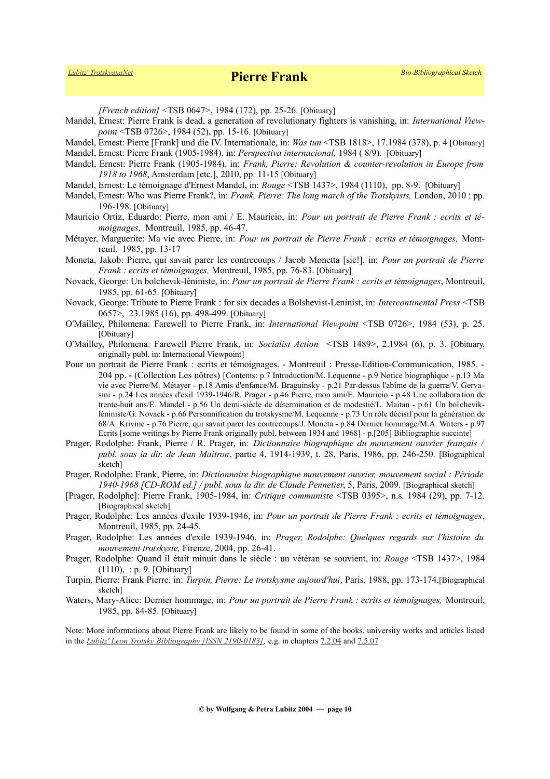*[French edition]* <TSB 0647>, 1984 (172), pp. 25-26. [Obituary]

- Mandel, Ernest: Pierre Frank is dead, a generation of revolutionary fighters is vanishing, in: *International Viewpoint* <TSB 0726>, 1984 (52), pp. 15-16. [Obituary]
- Mandel, Ernest: Pierre [Frank] und die IV. Internationale, in: *Was tun* <TSB 1818>, 17.1984 (378), p. 4 [Obituary]
- Mandel, Ernest: Pierre Frank (1905-1984), in: *Perspectiva internacional,* 1984 ( 8/9). [Obituary]
- Mandel, Ernest: Pierre Frank (1905-1984), in: *Frank, Pierre: Revolution & counter-revolution in Europe from 1918 to 1968*, Amsterdam [etc.], 2010, pp. 11-15 [Obituary]
- Mandel, Ernest: Le témoignage d'Ernest Mandel, in: *Rouge* <TSB 1437>, 1984 (1110), pp. 8-9. [Obituary]
- Mandel, Ernest: Who was Pierre Frank?, in: *Frank, Pierre: The long march of the Trotskyists,* London, 2010 : pp. 196-198. [Obituary]
- Mauricio Ortiz, Eduardo: Pierre, mon ami / E. Mauricio, in: *Pour un portrait de Pierre Frank : ecrits et témoignages*, Montreuil, 1985, pp. 46-47.
- Métayer, Marguerite: Ma vie avec Pierre, in: *Pour un portrait de Pierre Frank : ecrits et témoignages,* Montreuil, 1985, pp. 13-17
- Moneta, Jakob: Pierre, qui savait parer les contrecoups / Jacob Monetta [sic!], in: *Pour un portrait de Pierre Frank : ecrits et témoignages,* Montreuil, 1985, pp. 76-83. [Obituary]
- Novack, George: Un bolchevik-léniniste, in: *Pour un portrait de Pierre Frank : ecrits et témoignages*, Montreuil, 1985, pp. 61-65. [Obituary]
- Novack, George: Tribute to Pierre Frank : for six decades a Bolshevist-Leninist, in: *Intercontinental Press* <TSB 0657>, 23.1985 (16), pp. 498-499. [Obituary]
- O'Mailley, Philomena: Farewell to Pierre Frank, in: *International Viewpoint* <TSB 0726>, 1984 (53), p. 25. [Obituary]
- O'Mailley, Philomena: Farewell Pierre Frank, in: *Socialist Action* <TSB 1489>, 2.1984 (6), p. 3. [Obituary, originally publ. in: International Viewpoint]
- Pour un portrait de Pierre Frank : ecrits et témoignages. Montreuil : Presse-Edition-Communication, 1985. 204 pp. - (Collection Les nôtres) [Contents: p.7 Introduction/M. Lequenne - p.9 Notice biographique - p.13 Ma vie avec Pierre/M. Métayer - p.18 Amis d'enfance/M. Braguinsky - p.21 Par-dessus l'abîme de la guerre/V. Gervasini - p.24 Les années d'exil 1939-1946/R. Prager - p.46 Pierre, mon ami/E. Mauricio - p.48 Une collabora tion de trente-huit ans/E. Mandel - p.56 Un demi-siècle de détermination et de modestié/L. Maitan - p.61 Un bolchevikléniniste/G. Novack - p.66 Personnification du trotskysme/M. Lequenne - p.73 Un rôle décisif pour la génération de 68/A. Krivine - p.76 Pierre, qui savait parer les contrecoups/J. Moneta - p.84 Dernier hommage/M.A. Waters - p.97 Ecrits [some writings by Pierre Frank originally publ. between 1934 and 1968] - p.[205] Bibliographie succinte]
- Prager, Rodolphe: Frank, Pierre / R. Prager, in: *Dictionnaire biographique du mouvement ouvrier français / publ. sous la dir. de Jean Maitron*, partie 4, 1914-1939, t. 28, Paris, 1986, pp. 246-250. [Biographical sketch]
- Prager, Rodolphe: Frank, Pierre, in: *Dictionnaire biographique mouvement ouvrier, mouvement social : Période 1940-1968 [CD-ROM ed.] / publ. sous la dir. de Claude Pennetier*, 5, Paris, 2009. [Biographical sketch]
- [Prager, Rodolphe]: Pierre Frank, 1905-1984, in: *Critique communiste* <TSB 0395>, n.s. 1984 (29), pp. 7-12. [Biographical sketch]
- Prager, Rodolphe: Les années d'exile 1939-1946, in: *Pour un portrait de Pierre Frank : ecrits et témoignages*, Montreuil, 1985, pp. 24-45.
- Prager, Rodolphe: Les années d'exile 1939-1946, in: *Prager, Rodolphe: Quelques regards sur l'histoire du mouvement trotskyste,* Firenze, 2004, pp. 26-41.
- Prager, Rodolphe: Quand il était minuit dans le siècle : un vétéran se souvient, in: *Rouge* <TSB 1437>, 1984 (1110), : p. 9. [Obituary]
- Turpin, Pierre: Frank Pierre, in: *Turpin, Pierre: Le trotskysme aujourd'hui*, Paris, 1988, pp. 173-174.[Biographical sketch]
- Waters, Mary-Alice: Dernier hommage, in: *Pour un portrait de Pierre Frank : ecrits et témoignages,* Montreuil, 1985, pp. 84-85. [Obituary]

Note: More informations about Pierre Frank are likely to be found in some of the books, university works and articles listed in the *[Lubitz' Leon Trotsky Bibliography \[ISSN 2190-0183\]](https://www.trotskyana.net/LubitzBibliographies/Trotsky_Bibliography/Leon_Trotsky_Bibliography.html),* e.g. in chapters [7.2.04](https://www.trotskyana.net/LubitzBibliographies/Trotsky_Bibliography/Leon_Trotsky_Bibliography_07.html#c7.2.04) and [7.5.07](https://www.trotskyana.net/LubitzBibliographies/Trotsky_Bibliography/Leon_Trotsky_Bibliography_07.html#c7.5.07)